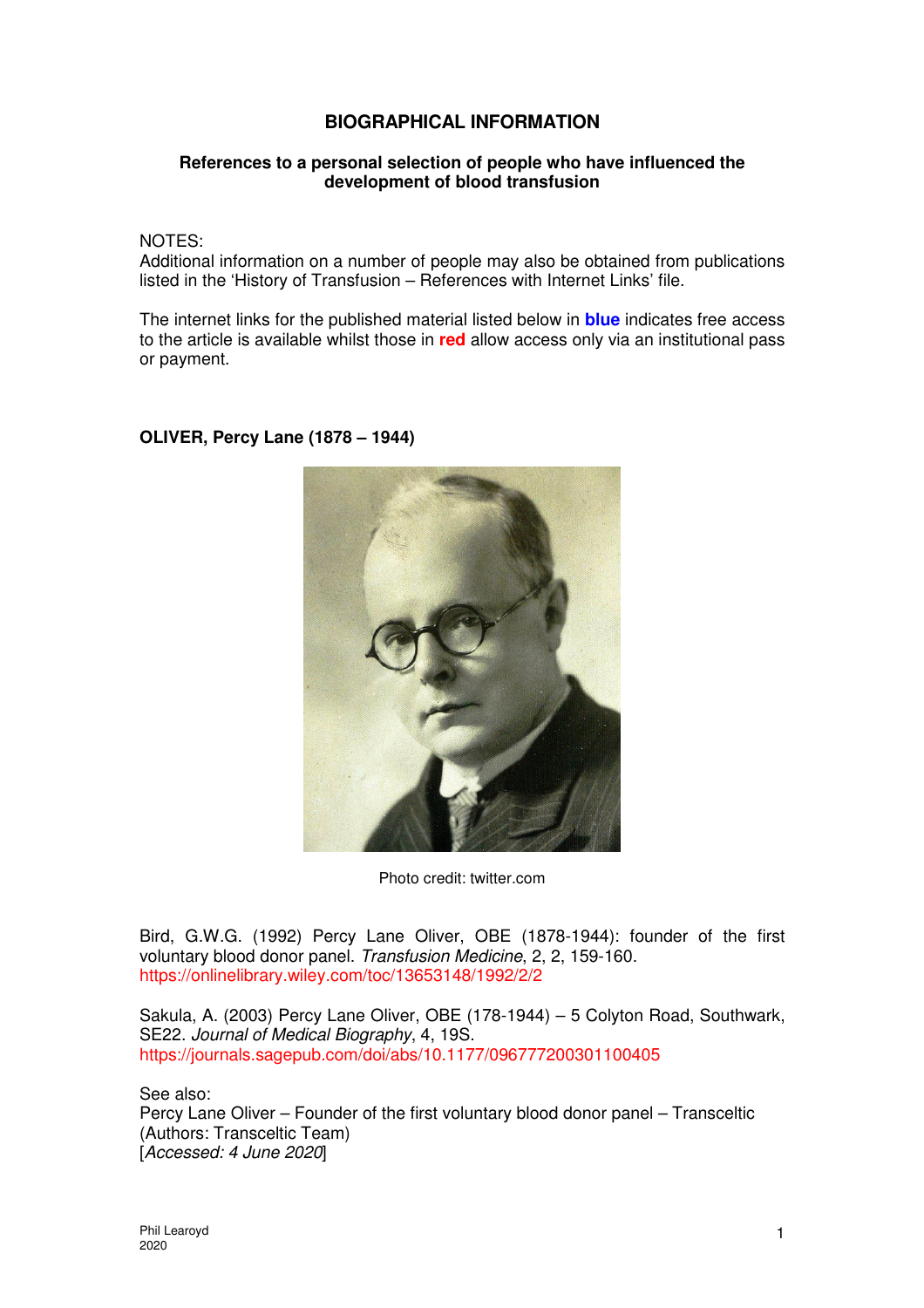## **BIOGRAPHICAL INFORMATION**

## **References to a personal selection of people who have influenced the development of blood transfusion**

NOTES:

Additional information on a number of people may also be obtained from publications listed in the 'History of Transfusion – References with Internet Links' file.

The internet links for the published material listed below in **blue** indicates free access to the article is available whilst those in **red** allow access only via an institutional pass or payment.

## **OLIVER, Percy Lane (1878 – 1944)**



Photo credit: twitter.com

Bird, G.W.G. (1992) Percy Lane Oliver, OBE (1878-1944): founder of the first voluntary blood donor panel. Transfusion Medicine, 2, 2, 159-160. https://onlinelibrary.wiley.com/toc/13653148/1992/2/2

Sakula, A. (2003) Percy Lane Oliver, OBE (178-1944) – 5 Colyton Road, Southwark, SE22. Journal of Medical Biography, 4, 19S. https://journals.sagepub.com/doi/abs/10.1177/096777200301100405

See also:

Percy Lane Oliver – Founder of the first voluntary blood donor panel – Transceltic (Authors: Transceltic Team) [Accessed: 4 June 2020]